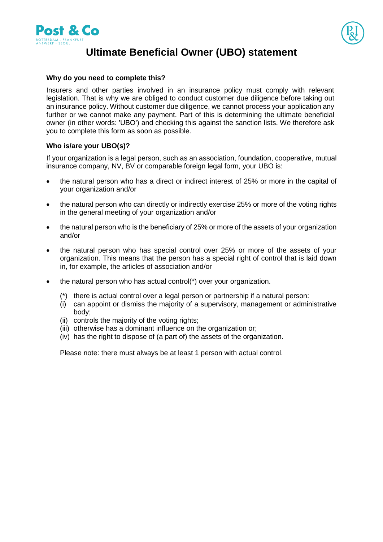



# **Ultimate Beneficial Owner (UBO) statement**

#### **Why do you need to complete this?**

Insurers and other parties involved in an insurance policy must comply with relevant legislation. That is why we are obliged to conduct customer due diligence before taking out an insurance policy. Without customer due diligence, we cannot process your application any further or we cannot make any payment. Part of this is determining the ultimate beneficial owner (in other words: 'UBO') and checking this against the sanction lists. We therefore ask you to complete this form as soon as possible.

### **Who is/are your UBO(s)?**

If your organization is a legal person, such as an association, foundation, cooperative, mutual insurance company, NV, BV or comparable foreign legal form, your UBO is:

- the natural person who has a direct or indirect interest of 25% or more in the capital of your organization and/or
- the natural person who can directly or indirectly exercise 25% or more of the voting rights in the general meeting of your organization and/or
- the natural person who is the beneficiary of 25% or more of the assets of your organization and/or
- the natural person who has special control over 25% or more of the assets of your organization. This means that the person has a special right of control that is laid down in, for example, the articles of association and/or
- the natural person who has actual control(\*) over your organization.
	- (\*) there is actual control over a legal person or partnership if a natural person:
	- (i) can appoint or dismiss the majority of a supervisory, management or administrative body;
	- (ii) controls the majority of the voting rights;
	- (iii) otherwise has a dominant influence on the organization or;
	- (iv) has the right to dispose of (a part of) the assets of the organization.

Please note: there must always be at least 1 person with actual control.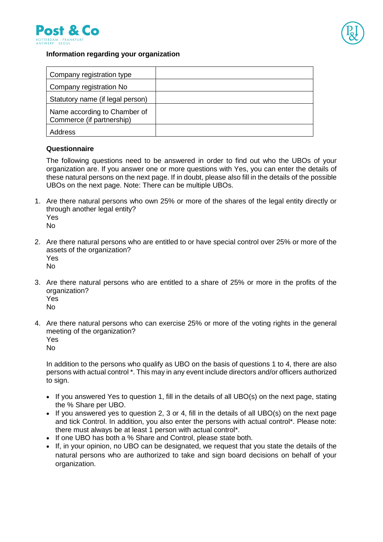



### **Information regarding your organization**

| Company registration type                                 |  |
|-----------------------------------------------------------|--|
| Company registration No                                   |  |
| Statutory name (if legal person)                          |  |
| Name according to Chamber of<br>Commerce (if partnership) |  |
| Address                                                   |  |

#### **Questionnaire**

The following questions need to be answered in order to find out who the UBOs of your organization are. If you answer one or more questions with Yes, you can enter the details of these natural persons on the next page. If in doubt, please also fill in the details of the possible UBOs on the next page. Note: There can be multiple UBOs.

1. Are there natural persons who own 25% or more of the shares of the legal entity directly or through another legal entity? Yes

No

- 2. Are there natural persons who are entitled to or have special control over 25% or more of the assets of the organization? Yes No
- 3. Are there natural persons who are entitled to a share of 25% or more in the profits of the organization?

Yes No

- 4. Are there natural persons who can exercise 25% or more of the voting rights in the general meeting of the organization?
	- Yes

No

In addition to the persons who qualify as UBO on the basis of questions 1 to 4, there are also persons with actual control \*. This may in any event include directors and/or officers authorized to sign.

- If you answered Yes to question 1, fill in the details of all UBO(s) on the next page, stating the % Share per UBO.
- If you answered yes to question 2, 3 or 4, fill in the details of all UBO(s) on the next page and tick Control. In addition, you also enter the persons with actual control\*. Please note: there must always be at least 1 person with actual control\*.
- If one UBO has both a % Share and Control, please state both.
- If, in your opinion, no UBO can be designated, we request that you state the details of the natural persons who are authorized to take and sign board decisions on behalf of your organization.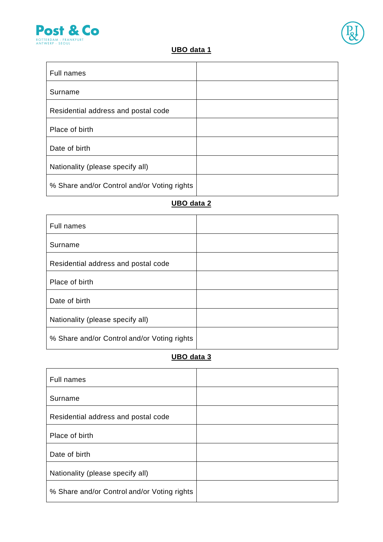

 $\blacksquare$ 



## **UBO data 1**

| <b>Full names</b>                           |  |
|---------------------------------------------|--|
| Surname                                     |  |
| Residential address and postal code         |  |
| Place of birth                              |  |
| Date of birth                               |  |
| Nationality (please specify all)            |  |
| % Share and/or Control and/or Voting rights |  |

### **UBO data 2**

| <b>Full names</b>                           |  |
|---------------------------------------------|--|
| Surname                                     |  |
| Residential address and postal code         |  |
| Place of birth                              |  |
| Date of birth                               |  |
| Nationality (please specify all)            |  |
| % Share and/or Control and/or Voting rights |  |

## **UBO data 3**

| <b>Full names</b>                           |  |
|---------------------------------------------|--|
| Surname                                     |  |
| Residential address and postal code         |  |
| Place of birth                              |  |
| Date of birth                               |  |
| Nationality (please specify all)            |  |
| % Share and/or Control and/or Voting rights |  |